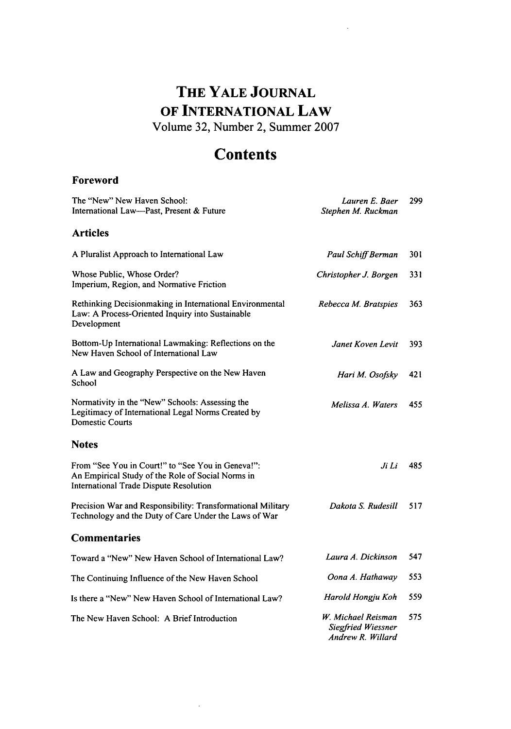# **THE YALE JOURNAL OF INTERNATIONAL LAW** Volume **32,** Number 2, Summer **2007**

# **Contents**

### **Foreword**

| The "New" New Haven School:<br>International Law—Past, Present & Future                                                                                 | Lauren E. Baer<br>Stephen M. Ruckman                          | 299 |
|---------------------------------------------------------------------------------------------------------------------------------------------------------|---------------------------------------------------------------|-----|
| <b>Articles</b>                                                                                                                                         |                                                               |     |
| A Pluralist Approach to International Law                                                                                                               | <b>Paul Schiff Berman</b>                                     | 301 |
| Whose Public, Whose Order?<br>Imperium, Region, and Normative Friction                                                                                  | Christopher J. Borgen                                         | 331 |
| Rethinking Decisionmaking in International Environmental<br>Law: A Process-Oriented Inquiry into Sustainable<br>Development                             | Rebecca M. Bratspies                                          | 363 |
| Bottom-Up International Lawmaking: Reflections on the<br>New Haven School of International Law                                                          | Janet Koven Levit                                             | 393 |
| A Law and Geography Perspective on the New Haven<br>School                                                                                              | Hari M. Osofsky                                               | 421 |
| Normativity in the "New" Schools: Assessing the<br>Legitimacy of International Legal Norms Created by<br>Domestic Courts                                | Melissa A. Waters                                             | 455 |
| <b>Notes</b>                                                                                                                                            |                                                               |     |
| From "See You in Court!" to "See You in Geneva!":<br>An Empirical Study of the Role of Social Norms in<br><b>International Trade Dispute Resolution</b> | Ji Li                                                         | 485 |
| Precision War and Responsibility: Transformational Military<br>Technology and the Duty of Care Under the Laws of War                                    | Dakota S. Rudesill                                            | 517 |
| Commentaries                                                                                                                                            |                                                               |     |
| Toward a "New" New Haven School of International Law?                                                                                                   | Laura A. Dickinson                                            | 547 |
| The Continuing Influence of the New Haven School                                                                                                        | Oona A. Hathaway                                              | 553 |
| Is there a "New" New Haven School of International Law?                                                                                                 | Harold Hongju Koh                                             | 559 |
| The New Haven School: A Brief Introduction                                                                                                              | W. Michael Reisman<br>Siegfried Wiessner<br>Andrew R. Willard | 575 |

 $\ddot{\phantom{a}}$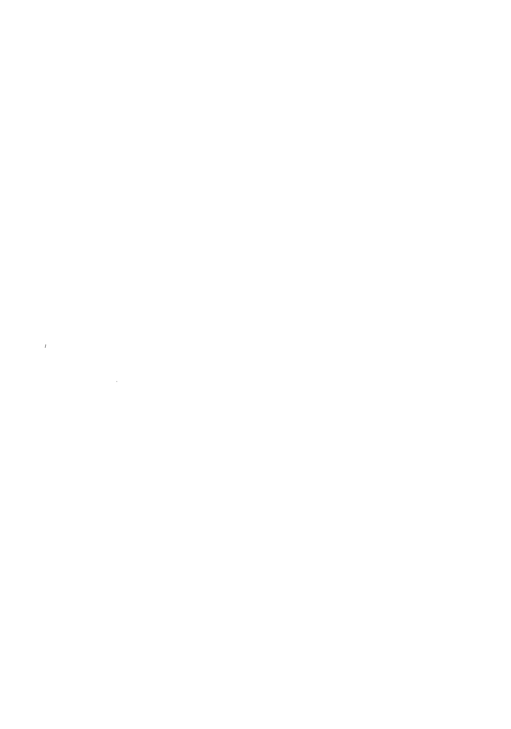$\label{eq:2.1} \mathcal{F}^{\text{max}}_{\text{max}}(\mathcal{F}) = \mathcal{F}^{\text{max}}_{\text{max}}(\mathcal{F})$  $\label{eq:2.1} \frac{1}{\sqrt{2}}\int_{0}^{\infty}\frac{1}{\sqrt{2\pi}}\left(\frac{1}{\sqrt{2\pi}}\right)^{2}d\mu\left(\frac{1}{\sqrt{2\pi}}\right)\frac{d\mu}{d\mu}d\mu\left(\frac{1}{\sqrt{2\pi}}\right).$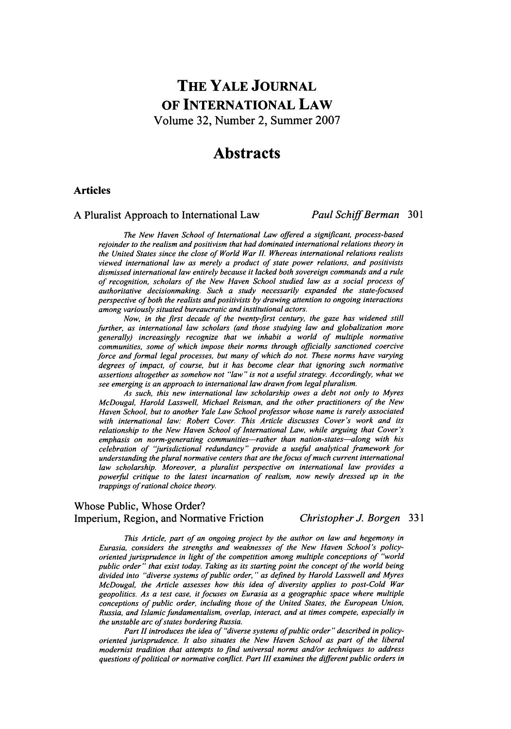# **THE YALE JOURNAL OF INTERNATIONAL LAW**

Volume **32,** Number 2, Summer **2007**

## **Abstracts**

#### **Articles**

#### A Pluralist Approach to International Law *Paul Schiff Berman* 301

*The New Haven School of International Law offered a significant, process-based rejoinder to the realism and positivism that had dominated international relations theory in the United States since the close of World War I. Whereas international relations realists viewed international law as merely a product of state power relations, and positivists dismissed international law entirely because it lacked both sovereign commands and a rule of recognition, scholars of the New Haven School studied law as a social process of authoritative decisionmaking. Such a study necessarily expanded the state-focused perspective of both the realists and positivists by drawing attention to ongoing interactions among variously situated bureaucratic and institutional actors.*

*Now, in the first decade of the twenty-first century, the gaze has widened still further, as international law scholars (and those studying law and globalization more generally) increasingly recognize that we inhabit a world of multiple normative communities, some of which impose their norms through officially sanctioned coercive force and formal legal processes, but many of which do not. These norms have varying degrees of impact, of course, but it has become clear that ignoring such normative assertions altogether as somehow not "law" is not a useful strategy. Accordingly, what we* see emerging is an approach to international law drawn from legal pluralism.

*As such, this new international law scholarship owes a debt not only to Myres McDougal, Harold Lasswell, Michael Reisman, and the other practitioners of the New Haven School, but to another Yale Law School professor whose name is rarely associated with international law: Robert Cover. This Article discusses Cover's work and its relationship to the New Haven School of International Law, while arguing that Cover's emphasis on norm-generating communities-rather than nation-states--along with his celebration of 'jurisdictional redundancy" provide a useful analytical framework for understanding the plural normative centers that are the focus of much current international law scholarship. Moreover, a pluralist perspective on international law provides a powerful critique to the latest incarnation of realism, now newly dressed up in the trappings of rational choice theory.*

#### Whose Public, Whose Order? Imperium, Region, and Normative Friction *Christopher J. Borgen* **331**

*This Article, part of an ongoing project by the author on law and hegemony in Eurasia, considers the strengths and weaknesses of the New Haven School's policyoriented jurisprudence in light of the competition among multiple conceptions of "world public order" that exist today. Taking as its starting point the concept of the world being divided into "diverse systems of public order," as defined by Harold Lasswell and Myres McDougal, the Article assesses how this idea of diversity applies to post-Cold War geopolitics. As a test case, it focuses on Eurasia as a geographic space where multiple conceptions of public order, including those of the United States, the European Union, Russia, and Islamic fundamentalism, overlap, interact, and at times compete, especially in the unstable arc of states bordering Russia.*

*Part 1I introduces the idea of "diverse systems of public order" described in policyoriented jurisprudence. It also situates the New Haven School as part of the liberal modernist tradition that attempts to find universal norms and/or techniques to address questions of political or normative conflict. Part III examines the different public orders in*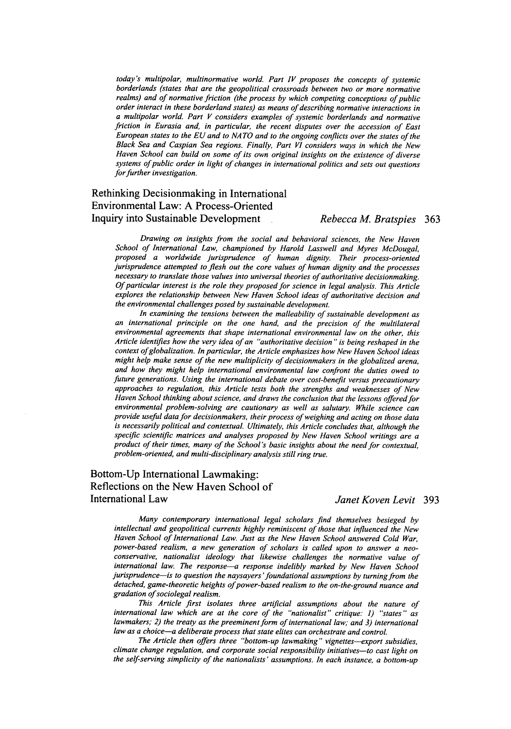today's multipolar, multinormative world. Part IV proposes the concepts of systemic borderlands (states that are the geopolitical crossroads between two or more normative realms) and of normative friction (the process **by** which competing conceptions of public a multipolar world. Part V considers examples of systemic borderlands and normative friction in Eurasia and, in particular, the recent disputes over the accession of East European states to the **EU** and to **NA** TO and to the ongoing conflicts over the states of the Black Sea and Caspian Sea regions. Finally, Part VI considers ways in which the New Haven School can build on some of its own original insights on the existence of diverse systems of public order in light of changes in international politics and sets out questions *for* further investigation.

### Rethinking Decisionmaking in International Environmental Law: **A** Process-Oriented Inquiry into Sustainable Development *Rebecca M. Bratspies* **363**

Drawing on insights from the social and behavioral sciences, the New Haven School of International Law, championed by Harold Lasswell and Myres McDougal, proposed a worldwide jurisprudence of human dignity. Their process-oriented jurisprudence attempted to flesh *out* the core values of human dignity and the processes necessary to translate those values into universal theories of authoritative decisionmaking. *Of* particular interest is the role they proposed for science in legal analysis. This Article explores the relationship between New Haven School ideas of authoritative decision and the environmental challenges posed by sustainable development.

In examining the tensions between the malleability of sustainable development as an international principle on the one hand, and the precision of the multilateral environmental agreements that shape international environmental law on the other, this Article identifies how the very idea of an "authoritative decision" is being reshaped in the context of globalization. In particular, the Article emphasizes how New Haven School ideas might help make sense of the new multiplicity of decisionmakers in the globalized arena, and how they might help international environmental law confront the duties owed to future generations. Using the international debate over cost-benefit versus precautionary approaches to regulation, this Article tests both the strengths and weaknesses of New Haven School thinking about science, and draws the conclusion that the lessons offered for environmental problem-solving are cautionary as well as salutary. While science can provide useful data for decisionmakers, their process of weighing and acting on those data is necessarily political and contextual. Ultimately, this Article concludes that, although the specific scientific matrices and analyses proposed by New Haven School writings are a product of their times, many of the School's basic insights about the need for contextual, problem-oriented, and multi-disciplinary analysis still ring true.

### Bottom-Up International Lawmaking: Reflections on the New Haven School of International Law *Janet Koven Levit* **393**

Many contemporary international legal scholars find themselves besieged by intellectual and geopolitical currents highly reminiscent of those that influenced the New Haven School of International Law. Just as the New Haven School answered Cold War, power-based realism, a new generation of scholars is called upon to answer a neo conservative, nationalist ideology that likewise challenges the normative value of international law. The response-a response indelibly marked **by** New Haven School jurisprudence-is to question the naysayers 'foundational assumptions **by** turning from the detached, game-theoretic heights of power-based realism to the on-the-ground nuance and gradation of sociolegal realism.

This Article first isolates three artificial assumptions about the nature of international law which are at the core of the "nationalist" critique: 1) "states" as lawmakers; 2) the treaty as the preeminent form of international law; and **3)** international law as a choice-a deliberate process that state elites can orchestrate and control.

The Article then offers three "bottom-up lawmaking" vignettes-export subsidies, climate change regulation, and corporate social responsibility initiatives—to cast light on<br>the self-serving simplicity of the nationalists' assumptions. In each instance, a bottom-un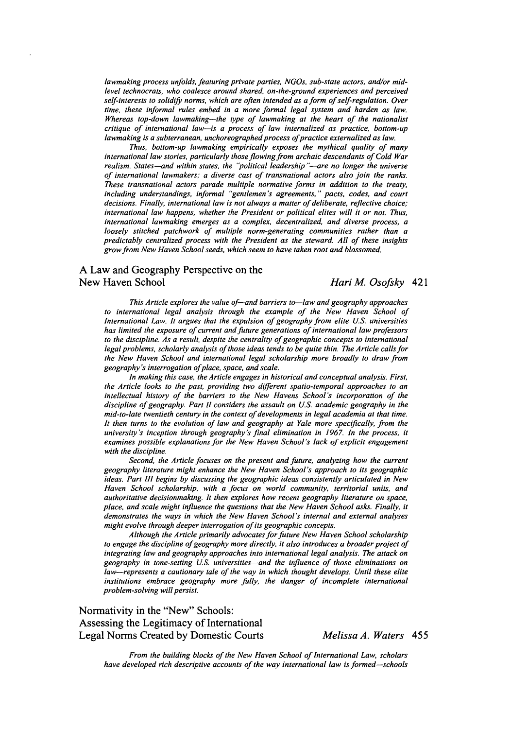lawmaking process unfolds, featuring private parties, NGOs, sub-state actors, and/or midlevel technocrats, who coalesce around shared, on-the-ground experiences and perceived *self-interests* to solidify norms, which are often intended as a form of self-regulation. Over time, these informal rules embed in a more formal legal system and harden as law. Whereas top-down lawmaking-the type of lawmaking at the heart of the nationalist critique of international law-is a process of law internalized as practice, bottom-up lawmaking is a subterranean, unchoreographed process of practice externalized as law.

Thus, bottom-up lawmaking empirically exposes the mythical quality of many international law stories, particularly those flowing from archaic descendants of Cold War realism. States-and within states, the "political leadership"-are no longer the universe of international lawmakers; a diverse cast of transnational actors also join the ranks. These transnational actors parade multiple normative forms in addition to the treaty, including understandings, informal *"'gentlemen's* agreements, " pacts, codes, and court decisions. Finally, international law is not always a matter of deliberate, reflective choice; international law happens, whether the President or political elites will it or not. Thus, international lawmaking emerges as a complex, decentralized, and diverse process, a loosely stitched patchwork of multiple norm-generating communities rather than a predictably centralized process with the President as the steward. All of these insights grow from New Haven School *seeds,* which *seem* to have taken root and blossomed.

#### **A** Law and Geography Perspective on the New Haven School *Hari M. Osofsky* 421

This Article explores the value of-and barriers to-law and geography approaches to international legal analysis through the example of the New Haven School of International Law. It argues that the expulsion of geography from elite U.S. universities has limited the exposure of current and future generations of international law professors to the discipline. As a result, despite the centrality of geographic concepts to international legal problems, scholarly analysis of those ideas tends to be quite thin. The Article calls for the New Haven School and international legal scholarship more broadly to draw from geography's interrogation of place, space, and scale.

In making this case, the Article engages in historical and conceptual analysis. First, the Article looks to the past, providing two different spatio-temporal approaches to an intellectual history of the barriers to the New Havens School's incorporation of the discipline of geography. Part II considers the assault on U.S. academic geography in the mid-to-late twentieth century in the context of developments in legal academia at that time. It then turns to the evolution of law and geography at Yale more specifically, from the university's inception through geography's final elimination in 1967. In the process, it examines possible explanations for the New Haven School's lack of explicit engagement with the discipline.

Second, the Article focuses on the present and future, analyzing how the current geography literature might enhance the New Haven School's approach to its geographic ideas. Part III begins by discussing the geographic ideas consistently articulated in New Haven School scholarship, with a focus on world community, territorial units, and authoritative decisionmaking. It then explores how recent geography literature on space, place, and scale might influence the questions that the New Haven School asks. Finally, it demonstrates the ways in which the New Haven School's internal and external analyses might evolve through deeper interrogation of its geographic concepts.

Although the Article primarily advocates for future New Haven School scholarship to engage the discipline of geography more directly, it also introduces a broader project of integrating law and geography approaches into international legal analysis. The attack on geography in tone-setting U.S. universities-and the influence of those eliminations on law-represents a cautionary tale of the way in which thought develops. Until these elite institutions embrace geography more fully, the danger of incomplete international problem-solving will persist.

Normativity in the "New" Schools: Assessing the Legitimacy of International Legal Norms Created **by** Domestic Courts *Melissa A. Waters 455*

From the building blocks of the New Haven School of International Law, scholars have developed rich descriptive accounts of the way international law is formed—schools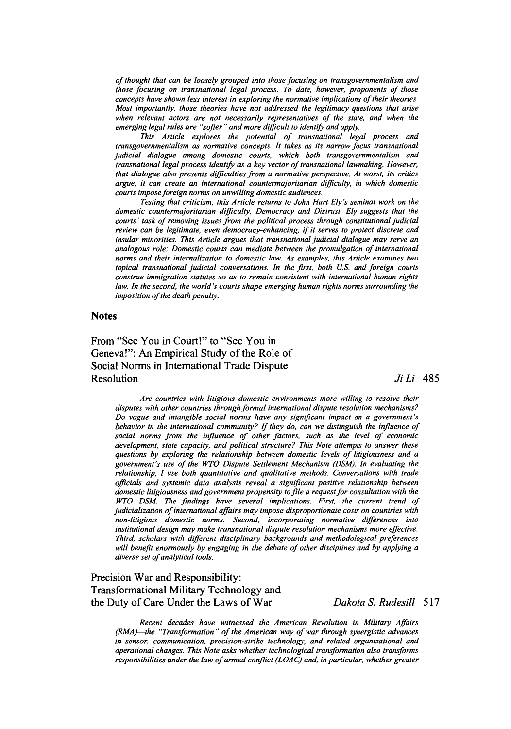*of thought that can be loosely grouped into those focusing on transgovernmentalism and those focusing on transnational legal process. To date, however, proponents of those concepts have shown less interest in exploring the normative implications of their theories. Most importantly, those theories have not addressed the legitimacy questions that arise when relevant actors are not necessarily representatives of the state, and when the emerging legal rules are "softer" and more difficult to identify and apply.*

*This Article explores the potential of transnational legal process and transgovernmentalism as normative concepts. It takes as its narrow focus transnational judicial dialogue among domestic courts, which both transgovernmentalism and transnational legal process identify as a key vector of transnational lawmaking. However, that dialogue also presents dificulties from a normative perspective. At worst, its critics argue, it can create an international countermajoritarian difficulty, in which domestic courts impose foreign norms on unwilling domestic audiences.*

*Testing that criticism, this Article returns to John Hart Ely's seminal work on the domestic countermajoritarian difficulty, Democracy and Distrust. Ely suggests that the courts' task of removing issues from the political process through constitutional judicial review can be legitimate, even democracy-enhancing,* if *it serves to protect discrete and insular minorities. This Article argues that transnational judicial dialogue may serve an analogous role: Domestic courts can mediate between the promulgation of international* norms *and their internalization to domestic law. As examples, this Article examines two topical transnational judicial conversations. In the first, both U.S. and foreign courts construe immigration statutes so as to remain consistent with international human rights law. In the second, the world's courts shape emerging human rights norms surrounding the imposition of the death penalty.*

#### **Notes**

From "See You in Court!" to "See You in Geneva!": An Empirical Study of the Role of Social Norms in International Trade Dispute Resolution *Ji Li* 485

*Are countries with litigious domestic environments more willing to resolve their disputes with other countries through formal international dispute resolution mechanisms? Do vague and intangible social norms have any significant impact on a government's behavior in the international community? If they do, can we distinguish the influence of social norms from the influence of other factors, such as the level of economic development, state capacity, and political structure? This Note attempts to answer these questions by exploring the relationship between domestic levels of litigiousness and a government's use of the WTO Dispute Settlement Mechanism (DSM). In evaluating the relationship, I use both quantitative and qualitative methods. Conversations with trade officials and systemic data analysis reveal a significant positive relationship between domestic litigiousness and government propensity to file a request for consultation with the WTO DSM. The findings have several implications. First, the current trend* of *judicialization of international affairs may impose disproportionate costs on countries with non-litigious domestic norms. Second, incorporating normative differences into institutional design may make transnational dispute resolution mechanisms more effective. Third, scholars with different disciplinary backgrounds and methodological preferences will benefit enormously by engaging in the debate of other disciplines and by applying a diverse set of analytical tools.*

### Precision War and Responsibility: Transformational Military Technology and the Duty of Care Under the Laws of War *Dakota S. Rudesill* **517**

*Recent decades have witnessed the American Revolution in Military Affairs (RMA)-the "Transformation " of the American way of war through synergistic advances in sensor, communication, precision-strike technology, and related organizational and operational changes. This Note asks whether technological transformation also transforms responsibilities under the law of* armed *conflict (LOA C) and, in particular, whether greater*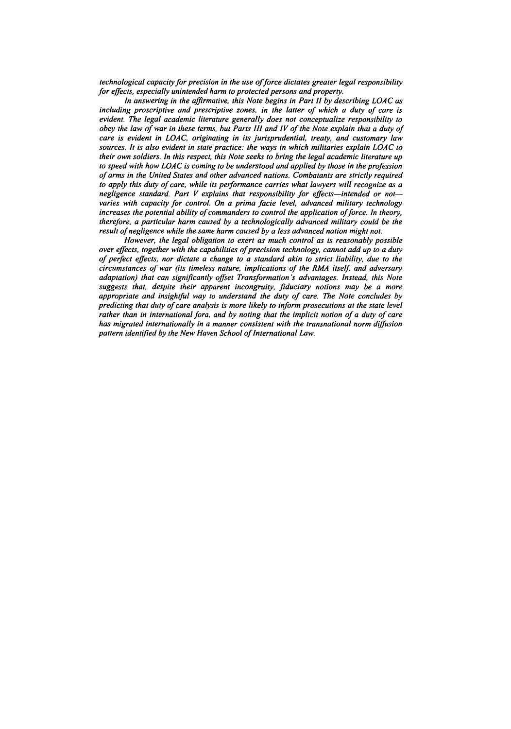technological capacity for precision in the use of force dictates greater legal responsibility for effects, especially unintended harm to protected persons and property.

In answering in the affirmative, this Note begins in Part II by describing LOAC as including proscriptive and prescriptive zones, in the latter of which a duty of care is evident. The legal academic literature generally does not conceptualize responsibility to obey the law of war in these terms, but Parts III and IV of the Note explain that a duty of care is evident in LOAC, originating in its jurisprudential, treaty, and customary law sources. It is also evident in state practice: the ways in which militaries explain LOAC to their own soldiers. In this respect, this Note seeks to bring the legal academic literature up to speed with how LOAC is coming to be understood and applied by those in the profession of arms in the United States and other advanced nations. Combatants are strictly required to apply this duty of care, while its performance carries what lawyers will recognize as a negligence standard. Part  $V$  explains that responsibility for effects-intended or notvaries with capacity for control. On a prima facie level, advanced military technology increases the potential ability of commanders to control the application of force. In theory, therefore, a particular harm caused **by** a technologically advanced military could be the result of negligence while the same harm caused by a less advanced nation might not.

However, the legal obligation to exert as much control as is reasonably possible over effects, together with the capabilities of precision technology, cannot add up to a duty of perfect effects, nor dictate a change to a standard akin to strict liability, due to the circumstances of war (its timeless nature, implications of the RMA itself and adversary adaptation) that can significantly offset Transformation 's advantages. Instead, this Note suggests that, despite their apparent incongruity, fiduciary notions may be a more appropriate and insightful way to understand the duty of care. The Note concludes by predicting that duty of care analysis is more likely to inform prosecutions at the state level rather than in international fora, and by noting that the implicit notion of a duty of care has migrated internationally in a manner consistent with the transnational norm diffusion pattern identified by the New Haven School of International Law.